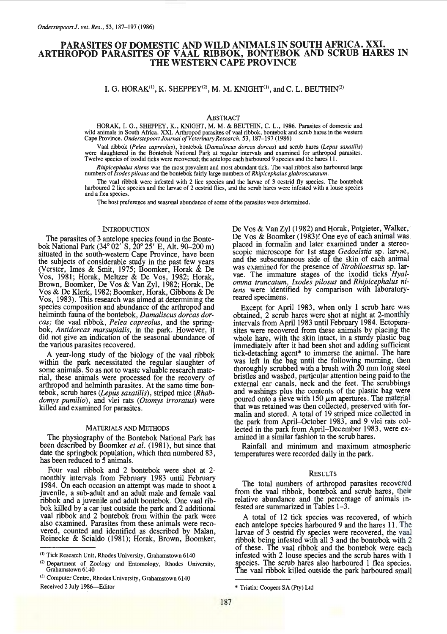# PARASITES OF DOMESTIC AND WILD ANIMALS IN SOUTH AFRICA. XXI. ARTHROPOD PARASITES OF VAAL RIBBOK, BONTEBOK AND SCRUB HARES IN THE WESTERN CAPE PROVINCE

I. G. HORAK<sup>(1)</sup>, K. SHEPPEY<sup>(2)</sup>, M. M. KNIGHT<sup>(1)</sup>, and C. L. BEUTHIN<sup>(3)</sup>

ABSTRACT

HORAK, I. G., SHEPPEY, K., KNIGHT, M. M. & BEUTHIN, C. L., 1986. Parasites of domestic and wild animals in South Africa. XXI. Arthropod parasites of vaal ribbok, bontebok and scrub hares in the western .Cape Province. *Onderstepoort Journal of Veterinary Research,* 53, 187-197 (1986)

Vaal ribbok (Pelea capreolus), bontebok (Damaliscus dorcas dorcas) and scrub hares (Lepus saxatilis) were slaughtered in the Bontebok National Park at regular intervals and examined for arthropod parasites. Twelve species of ixodid ticks were recovered; the antelope each harboured 9 species and the hares 11.

*Rhipicephalus nitens* was the most prevalent and most abundant tick. The vaal ribbok also harboured large numbers of *Ixodes pilosus* and the bontebok fairly large numbers of *Rhipicephalus glabroscutatum.* 

The vaal ribbok were infested with 2 lice species and the larvae of 3 oestrid fly species. The bontebok harboured 2 lice species and the larvae of 2 oestrid flies, and the scrub hares were infested with a louse species and a flea species.

The host preference and seasonal abundance of some of the parasites were determined.

## **INTRODUCTION**

The parasites of 3 antelope species found in the Bontebok National Park (34° 02' S, 20° 25' E, Alt. 90-200 m) situated in the south-western Cape Province, have been the subjects of considerable study in the past few years (Verster, Imes & Smit, 1975; Boomker, Horak & De Vos, 1981; Horak, Meltzer & De Vos, 1982; Horak, Brown, Boomker, De Vos & Van Zyl, 1982; Horak, De Vos & De Klerk, 1982; Boomker, Horak, Gibbons & De Vos, 1983). This research was aimed at determining the species composition and abundance of the arthropod and helminth fauna of the bontebok, *Damaliscus dorcas dorcas;* the vaal ribbok, *Pelea capreolus,* and the springbok, *Antidorcas marsupialis*, in the park. However, it did not give an indication of the seasonal abundance of the various parasites recovered.

A year-long study of the biology of the vaal ribbok within the park necessitated the regular slaughter of some animals. So as not to waste valuable research material, these animals were processed for the recovery of arthropod and helminth parasites. At the same time bon-<br>tebok, scrub hares (Lepus saxatilis), striped mice (Rhabdomys pumilio), and vlei rats *(Otomys irroratus)* were killed and examined for parasites.

#### MATERIALS AND METHODS

The physiography of the Bontebok National Park has been described by Boomker *et al.* (1981), but since that date the springbok population, which then numbered 83, has been reduced to 5 animals.

Four vaal ribbok and 2 bontebok were shot at 2 monthly intervals from February 1983 until February 1984. On each occasion an attempt was made to shoot a juvenile, a sub-adult and an adult male and female vaal ribbok and a juvenile and adult bontebok. One vaal ribbok killed by a car just outside the park and 2 additional vaal ribbok and 2 bontebok from within the park were also examined. Parasites from these animals were recovered, counted and identified as described by Malan, Reinecke & Scialdo (1981); Horak, Brown, Boomker,

De Vos & Van Zyl (1982) and Horak, Potgieter, Walker, De Vos & Boomker (1983)! One eye of each animal was placed in formalin and later examined under a stereoscopic microscope for I st stage *Gedoelstia* sp. larvae, and the subscutaneous side of the skin of each animal was examined for the presence of *Strobiloestrus* sp. lar-<br>vae. The immature stages of the ixodid ticks *Hyalomma truncatum, Ixodes pilosus* and *Rhipicephalus nitens* were identified by comparison with laboratoryreared specimens.

Except for April 1983, when only 1 scrub hare was obtained, 2 scrub hares were shot at night. at 2-monthly intervals from April 1983 until February 1984. Ectoparasites were recovered from these animals by placing the whole hare, with the skin intact, in a sturdy plastic bag immediately after it had been shot and adding sufficient tick-detaching agent\* to immerse the animal. The hare was left in the bag until the following morning, then thoroughly scrubbed with a brush with 20 mm long steel bristles and washed, particular attention being paid to the external ear canals, neck and the feet. The scrubbings and washings plus the contents of the plastic bag were poured onto a sieve with 150  $\mu$ m apertures. The material that was retained was then collected, preserved with formalin and stored. A total of 19 striped mice collected in the park from April-October 1983, and 9 vlei rats collected in the park from April-December 1983, were examined in a similar fashion to the scrub hares.

Rainfall and minimum and maximum atmospheric temperatures were recorded daily in the park.

## RESULTS

The total numbers of arthropod parasites recovered from the vaal ribbok, bontebok and scrub hares, their relative abundance and the percentage of animals infested are summarized in Tables 1-3.

A total of 12 tick species was recovered, of which each antelope species harboured 9 and the hares 11. The larvae of 3 oestrid fly species were recovered, the vaal ribbok being infested wtth all 3 and the bontebok with 2 of these. The vaal ribbok and the bontebok were each infested with 2 louse species and the scrub hares with 1 species. The scrub hares also harboured 1 flea species. The vaal ribbok killed outside the park harboured small

<sup>(</sup>I) Tick Research Unit, Rhodes University, Grahamstown 6140

<sup>&</sup>lt; 2 ) Department of Zoology and Entomology, Rhodes University, Grahamstown 6140

<sup>&</sup>lt;sup>(3)</sup> Computer Centre, Rhodes University, Grahamstown 6140 Received 2 July 1986-Editor

<sup>•</sup> Triatix: Coopers SA (Pty) Ltd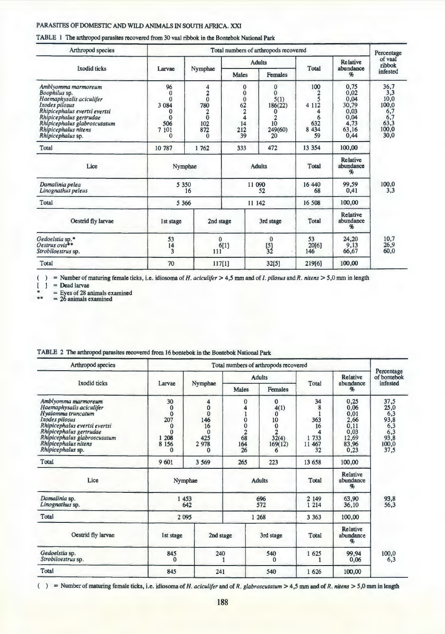| Arthropod species                                                                                                                                                                                                           | Total numbers of arthropods recovered                                                      |                                                                                           |                                                                                                    |                                                                                           |                                             |                                                                        |                                                                     |  |
|-----------------------------------------------------------------------------------------------------------------------------------------------------------------------------------------------------------------------------|--------------------------------------------------------------------------------------------|-------------------------------------------------------------------------------------------|----------------------------------------------------------------------------------------------------|-------------------------------------------------------------------------------------------|---------------------------------------------|------------------------------------------------------------------------|---------------------------------------------------------------------|--|
|                                                                                                                                                                                                                             |                                                                                            |                                                                                           |                                                                                                    | <b>Adults</b>                                                                             |                                             | <b>Relative</b>                                                        | of vaal<br>ribbok                                                   |  |
| <b>Ixodid</b> ticks                                                                                                                                                                                                         | Larvae                                                                                     | Nymphae                                                                                   | <b>Males</b>                                                                                       | Females                                                                                   | <b>Total</b>                                | abundance<br>$\frac{q}{b}$                                             | infested                                                            |  |
| Amblyomma marmoreum<br>Boophilus sp.<br>Haemaphysalis aciculifer<br>Ixodes pilosus<br>Rhipicephalus evertsi evertsi<br>Rhipicephalus gertrudae<br>Rhipicephalus glabroscutatum<br>Rhipicephalus nitens<br>Rhipicephalus sp. | 96<br>$\mathbf{0}$<br>$\mathbf{0}$<br>3 0 8 4<br>0<br>$\bf{0}$<br>506<br>7 101<br>$\Omega$ | 4<br>$\overline{\mathbf{c}}$<br>$\mathbf{0}$<br>780<br>$\Omega$<br>102<br>872<br>$\Omega$ | $\bf{0}$<br>$\bf{0}$<br>$\overline{0}$<br>$\frac{62}{2}$<br>$\overline{\bf{4}}$<br>14<br>212<br>39 | $\bf{0}$<br>$\mathbf{0}$<br>5(1)<br>186(22)<br>0<br>$\overline{2}$<br>10<br>249(60)<br>20 | 100<br>4 1 1 2<br>6<br>632<br>8 4 3 4<br>59 | 0,75<br>0,02<br>0,04<br>30,79<br>0,03<br>0.04<br>4,73<br>63,16<br>0,44 | 36,7<br>3,3<br>10,0<br>100,0<br>6,7<br>6,7<br>63,3<br>100,0<br>30,0 |  |
| Total                                                                                                                                                                                                                       | 10 787                                                                                     | 1762                                                                                      | 333                                                                                                | 472                                                                                       | 13 3 5 4                                    | 100,00                                                                 |                                                                     |  |
| Lice                                                                                                                                                                                                                        |                                                                                            | Nymphae                                                                                   |                                                                                                    | <b>Adults</b>                                                                             |                                             | Relative<br>abundance<br>$\frac{q}{b}$                                 |                                                                     |  |
| Damalinia pelea<br>Linognathus peleus                                                                                                                                                                                       |                                                                                            | 5 3 5 0<br>16                                                                             | 11 090<br>52                                                                                       |                                                                                           | 16 440<br>68                                | 99,59<br>0,41                                                          | 100,0<br>3,3                                                        |  |
| <b>Total</b>                                                                                                                                                                                                                |                                                                                            | 5 3 6 6                                                                                   | 11 142                                                                                             |                                                                                           | 16 508                                      | 100,00                                                                 |                                                                     |  |
| Oestrid fly larvae                                                                                                                                                                                                          | 1st stage                                                                                  | 2nd stage                                                                                 | 3rd stage                                                                                          |                                                                                           | <b>Total</b>                                | <b>Relative</b><br>abundance<br>q,                                     |                                                                     |  |
| Gedoelstia sp.*<br>Oestrus $ovis^**$<br>Strobiloestrus sp.                                                                                                                                                                  | 53<br>14<br>$\overline{\mathbf{3}}$                                                        | $\Omega$<br>111                                                                           | 6[1]                                                                                               | $\mathbf{0}$<br>$\begin{bmatrix} 5 \\ 32 \end{bmatrix}$                                   | 53<br>20[6]<br>146                          | 24,20<br>9,13<br>66,67                                                 | 10,7<br>26,9<br>60,0                                                |  |
| Total                                                                                                                                                                                                                       | 70                                                                                         | 117[1]                                                                                    |                                                                                                    | 32[5]                                                                                     | 219[6]                                      | 100,00                                                                 |                                                                     |  |

TABLE 1 The arthropod parasites recovered from 30 vaal ribbok in the Bontebok National Park

( ) = Number of maturing female ticks, i.e. idiosoma of *H. aciculifer* > 4,5 mm and of *I. pilosus* and *R. nitens* > 5,0 mm in length  $\begin{bmatrix} 1 \end{bmatrix}$  = Dead larvae

= Dead larvae

Eyes of 28 animals examined<br>26 animals examined

|  |  |  |  | TABLE 2 The arthropod parasites recovered from 16 bontebok in the Bontebok National Park |
|--|--|--|--|------------------------------------------------------------------------------------------|
|--|--|--|--|------------------------------------------------------------------------------------------|

| Arthropod species                                                                                                                                                                                                                | Total numbers of arthropods recovered                                                                                                                                                     |              |                                                                                                                                                                                      |                |                                                    |                                                                        |                                                                    |  |
|----------------------------------------------------------------------------------------------------------------------------------------------------------------------------------------------------------------------------------|-------------------------------------------------------------------------------------------------------------------------------------------------------------------------------------------|--------------|--------------------------------------------------------------------------------------------------------------------------------------------------------------------------------------|----------------|----------------------------------------------------|------------------------------------------------------------------------|--------------------------------------------------------------------|--|
| <b>Ixodid</b> ticks                                                                                                                                                                                                              |                                                                                                                                                                                           |              | <b>Adults</b>                                                                                                                                                                        |                |                                                    | Relative                                                               | Percentage<br>of bontebok                                          |  |
|                                                                                                                                                                                                                                  | Larvae                                                                                                                                                                                    | Nymphae      | <b>Males</b>                                                                                                                                                                         | <b>Females</b> | Total                                              | abundance<br>9ь                                                        | infested                                                           |  |
| Amblyomma marmoreum<br>Haemaphysalis aciculifer<br>Hyalomma truncatum<br>Ixodes pilosus<br>Rhipicephalus evertsi evertsi<br>Rhipicephalus gertrudae<br>Rhipicephalus glabroscutatum<br>Rhipicephalus nitens<br>Rhipicephalus sp. | 30<br>4<br>$\bf{0}$<br>$\bf{0}$<br>$\mathbf{0}$<br>$\mathbf{0}$<br>207<br>146<br>16<br>$\bf{0}$<br>$\Omega$<br>$\mathbf{0}$<br>208<br>425<br>1<br>8 1 5 6<br>2978<br>$\Omega$<br>$\Omega$ |              | $\Omega$<br>$\Omega$<br>4(1)<br>0<br>$\mathbf{0}$<br>10<br>$\mathbf{0}$<br>$\mathbf{0}$<br>$\overline{2}$<br>$\overline{c}$<br>$6\overline{8}$<br>32(4)<br>164<br>169(12)<br>26<br>6 |                | 34<br>8<br>363<br>16<br>Δ<br>1 733<br>11 467<br>32 | 0,25<br>0,06<br>0,01<br>2,66<br>0,11<br>0,03<br>12,69<br>83,96<br>0,23 | 37,5<br>25,0<br>6,3<br>93,8<br>6,3<br>6,3<br>93,8<br>100,0<br>37,5 |  |
| Total                                                                                                                                                                                                                            | 9 601                                                                                                                                                                                     | 3 5 6 9      | 265                                                                                                                                                                                  | 223            | 13 658                                             | 100,00                                                                 |                                                                    |  |
| Lice                                                                                                                                                                                                                             | Nymphae                                                                                                                                                                                   |              | <b>Adults</b>                                                                                                                                                                        |                | Total                                              | Relative<br>abundance<br><b>%</b>                                      |                                                                    |  |
| Damalinia sp.<br>Linognathus sp.                                                                                                                                                                                                 |                                                                                                                                                                                           | 1 453<br>642 | 696<br>572                                                                                                                                                                           |                | 2 149<br>1 2 1 4                                   | 63,90<br>36,10                                                         | 93,8<br>56,3                                                       |  |
| Total                                                                                                                                                                                                                            |                                                                                                                                                                                           | 2 0 9 5      | 1 2 6 8                                                                                                                                                                              |                | 3 3 6 3                                            | 100,00                                                                 |                                                                    |  |
| Oestrid fly larvae                                                                                                                                                                                                               | 1st stage                                                                                                                                                                                 | 2nd stage    | 3rd stage                                                                                                                                                                            |                | Total                                              | Relative<br>abundance<br><b>%</b>                                      |                                                                    |  |
| Gedoelstia sp.<br>Strobiloestrus sp.                                                                                                                                                                                             | 845                                                                                                                                                                                       | 240          |                                                                                                                                                                                      | 540<br>0       |                                                    | 99,94<br>0,06                                                          | 100,0<br>6,3                                                       |  |
| Total                                                                                                                                                                                                                            | 845                                                                                                                                                                                       | 241          | 540                                                                                                                                                                                  |                | 1 626                                              | 100,00                                                                 |                                                                    |  |

( ) = Number of maturing female ticks, i.e. idiosomaofH. *aciculifer* and of *R. glabroscutatum* > *4,5* nun and of *R. nitens* > 5,0 nun in length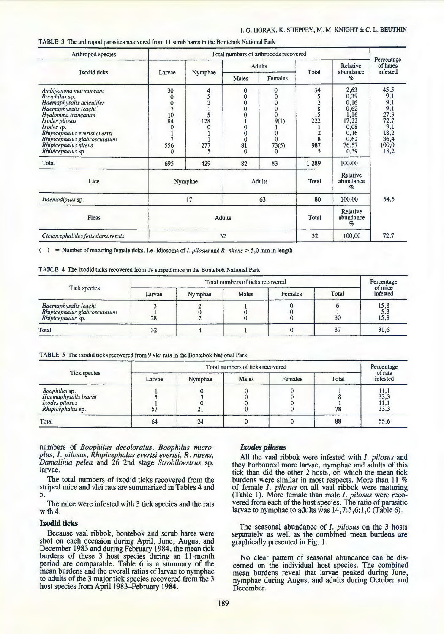## I. G. HORAK, K. SHEPPEY, M. M. KNIGHT & C. L. BEUTHIN

TABLE 3 The arthropod parasites recovered from 11 scrub hares in the Bontebok National Park

| Arthropod species                                                                                                                                                                                                                                            | Total numbers of arthropods recovered                                          |                                                  |                                                                                                      |                                                                                                           |                                                                    |                                                                                        |                                                                                          |  |
|--------------------------------------------------------------------------------------------------------------------------------------------------------------------------------------------------------------------------------------------------------------|--------------------------------------------------------------------------------|--------------------------------------------------|------------------------------------------------------------------------------------------------------|-----------------------------------------------------------------------------------------------------------|--------------------------------------------------------------------|----------------------------------------------------------------------------------------|------------------------------------------------------------------------------------------|--|
|                                                                                                                                                                                                                                                              |                                                                                |                                                  |                                                                                                      | <b>Adults</b>                                                                                             |                                                                    | Relative<br>abundance                                                                  | Percentage<br>of hares<br>infested                                                       |  |
| Ixodid ticks                                                                                                                                                                                                                                                 | Larvae                                                                         | Nymphae                                          | Males                                                                                                | Females                                                                                                   | Total                                                              | $\%$                                                                                   |                                                                                          |  |
| Amblyomma marmoreum<br>Boophilus sp.<br>Haemaphysalis aciculifer<br>Haemaphysalis leachi<br>Hyalomma truncatum<br>Ixodes pilosus<br>Ixodes sp.<br>Rhipicephalus evertsi evertsi<br>Rhipicephalus glabroscutatum<br>Rhipicephalus nitens<br>Rhipicephalus sp. | 30<br>$\mathbf 0$<br>$\mathbf 0$<br>7<br>10<br>84<br>$\Omega$<br>7<br>556<br>0 | 4<br>5<br>$\overline{2}$<br>5<br>128<br>277<br>5 | 0<br>0<br>$\overline{0}$<br>0<br>$\overline{0}$<br>0<br>$\mathbf 0$<br>$\Omega$<br>81<br>$\mathbf 0$ | 0<br>$\mathbf 0$<br>$\mathbf 0$<br>$\boldsymbol{0}$<br>Ŏ<br>9(1)<br>$\mathbf 0$<br>$\Omega$<br>73(5)<br>0 | 34<br>5<br>$\overline{2}$<br>$\bf 8$<br>15<br>222<br>8<br>987<br>5 | 2,63<br>0,39<br>0,16<br>0,62<br>1,16<br>17,22<br>0,08<br>0,16<br>0,62<br>76,57<br>0,39 | 45,5<br>9,1<br>$\frac{9,1}{9,1}$<br>27,3<br>72,7<br>9,1<br>18,2<br>36,4<br>100,0<br>18,2 |  |
| Total                                                                                                                                                                                                                                                        | 695                                                                            | 429                                              | 82                                                                                                   | 83                                                                                                        | 1 2 8 9                                                            | 100,00                                                                                 |                                                                                          |  |
| Lice                                                                                                                                                                                                                                                         |                                                                                | Nymphae                                          |                                                                                                      | <b>Adults</b>                                                                                             | Total                                                              | Relative<br>abundance<br>$\%$                                                          |                                                                                          |  |
| Haemodipsus sp.                                                                                                                                                                                                                                              |                                                                                | 17                                               |                                                                                                      | 63                                                                                                        | 80                                                                 | 100,00                                                                                 | 54,5                                                                                     |  |
| Fleas                                                                                                                                                                                                                                                        |                                                                                | <b>Adults</b>                                    | Total                                                                                                | Relative<br>abundance<br>Ho                                                                               |                                                                    |                                                                                        |                                                                                          |  |
| Ctenocephalides felis damarensis                                                                                                                                                                                                                             |                                                                                | 32                                               |                                                                                                      |                                                                                                           | 32                                                                 | 100,00                                                                                 | 72.7                                                                                     |  |

( ) = Number of maturing female ticks, i.e. idiosoma of *I. pilosus* and *R. nit ens* > *5,0* mm in length

|  |  |  | TABLE 4 The ixodid ticks recovered from 19 striped mice in the Bontebok National Park |  |  |  |  |  |  |
|--|--|--|---------------------------------------------------------------------------------------|--|--|--|--|--|--|
|--|--|--|---------------------------------------------------------------------------------------|--|--|--|--|--|--|

| Tick species                                                              | Total numbers of ticks recovered |         |       |         |       |                     |  |
|---------------------------------------------------------------------------|----------------------------------|---------|-------|---------|-------|---------------------|--|
|                                                                           | Larvae                           | Nymphae | Males | Females | Total | of mice<br>infested |  |
| Haemaphysalis leachi<br>Rhipicephalus glabroscutatum<br>Rhipicephalus sp. | 28                               |         |       |         | 30    | 15,8<br>5,3<br>15,8 |  |
| Total                                                                     | 32                               |         |       |         | 37    | 31,6                |  |

TABLE *5* The ixodid ticks recovered from 9 vlei rats in the Bontebok National Park

| Tick species                                                                 |        | Total numbers of ticks recovered |       |         |       |                                            |  |  |
|------------------------------------------------------------------------------|--------|----------------------------------|-------|---------|-------|--------------------------------------------|--|--|
|                                                                              | Larvae | Nymphae                          | Males | Females | Total | of rats<br>infested                        |  |  |
| Boophilus sp.<br>Haemaphysalis leachi<br>Ixodes pilosus<br>Rhipicephalus sp. |        | 21                               |       |         | 78    | $\frac{11,1}{33,3}$<br>$\frac{11,1}{33,3}$ |  |  |
| Total                                                                        | 64     | 24                               |       |         | 88    | 55,6                                       |  |  |

numbers of *Boophilus decoloratus, Boophilus microplus, I. pilosus, Rhipicephalus evertsi evertsi, R. nitens, Damalinia pelea* and 26 2nd stage *Strobiloestrus* sp. larvae.

The total numbers of ixodid ticks recovered from the striped mice and vlei rats are summarized in Tables 4 and 5.

The mice were infested with 3 tick species and the rats with 4.

## Ixodid ticks

Because vaal ribbok, bontebok and scrub hares were shot on each occasion during April, June, August and December 1983 and during February 1984, the mean tick burdens of these 3 host species during an 11-month period are comparable. Table 6 is a summary of the mean burdens and the overall ratios of larvae to nymphae to adults of the 3 major tick species recovered from the 3 host species from April 1983-February 1984.

# *Ixodes pilosus*

All the vaal ribbok were infested with *I. pilosus* and they harboured more larvae, nymphae and adults of this tick than did the other 2 hosts, on which the mean tick burdens were similar in most respects. More than 11 % of female *I. pilosus* on all vaal ribbok were maturing (Table 1). More female than male *I. pilosus* were recovered from each of the host species. The ratio of parasitic larvae to nymphae to adults was 14,7:5,6:1,0 (Table 6).

The seasonal abundance of *I. pilosus* on the 3 hosts separately as well as the combined mean burdens are graphically presented in Fig. 1.

No clear pattern of seasonal abundance can be discerned on the individual host species. The combined nymphae during August and adults during October and December.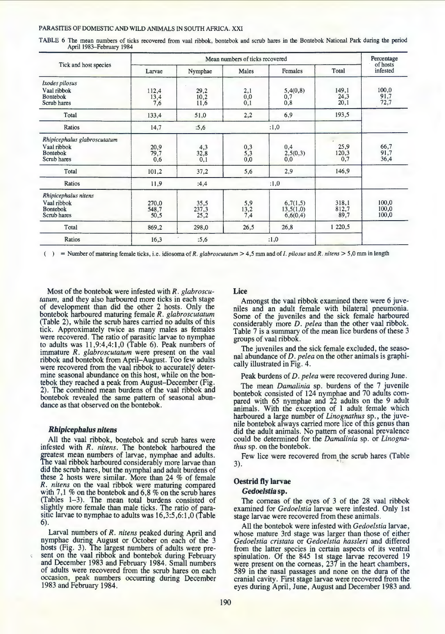TABLE 6 The mean numbers of ticks recovered from vaal ribbok, bontebok and scrub hares in the Bontebok National Park during the period April 1983-February 1984

| Tick and host species                                                         |                             | Percentage<br>of hosts        |                                                  |                                   |                        |                         |
|-------------------------------------------------------------------------------|-----------------------------|-------------------------------|--------------------------------------------------|-----------------------------------|------------------------|-------------------------|
|                                                                               | Larvae                      | Nymphae                       | Males                                            | Females                           | Total                  | infested                |
| Ixodes pilosus<br>Vaal ribbok<br>Bontebok<br>Scrub hares                      | 112,4<br>$\frac{13,4}{7,6}$ | 29,2<br>10,2<br>11,6          | $\substack{2,1\\0,0\\0,1}$                       | 5,4(0,8)<br>$_{0,7}$<br>0,8       | 149,1<br>24,3<br>20,1  | 100,0<br>91,7<br>72,7   |
| Total                                                                         | 133,4                       | 51,0                          | 2,2                                              | 6,9                               | 193,5                  |                         |
| Ratios                                                                        | 14,7                        | :5,6                          |                                                  | :1,0                              |                        |                         |
| Rhipicephalus glabroscutatum<br>Vaal ribbok<br><b>Bontebok</b><br>Scrub hares | 20,9<br>79,7<br>0,6         | $32,8$<br>$0,1$               | $\begin{array}{c} 0,3 \\ 5,3 \\ 0,0 \end{array}$ | 0,4<br>2,5(0,3)<br>0,0            | 25,9<br>120,3<br>0,7   | 66,7<br>91,7<br>36,4    |
| Total                                                                         | 101,2                       | 37,2                          | 5,6                                              | 2,9                               | 146,9                  |                         |
| Ratios                                                                        | 11,9                        | :4,4                          | :1,0                                             |                                   |                        |                         |
| Rhipicephalus nitens<br>Vaal ribbok<br><b>Bontebok</b><br>Scrub hares         | 270,0<br>548,7<br>50,5      | $\frac{35,5}{237,3}$<br>237,3 | 5,9<br>$\frac{13,2}{7,4}$                        | 6,7(1,5)<br>13,5(1,0)<br>6,6(0,4) | 318,1<br>812,7<br>89,7 | 100,0<br>100,0<br>100,0 |
| Total                                                                         | 869,2                       | 298,0                         | 26,5                                             | 26,8                              | 1 2 2 0 , 5            |                         |
| <b>Ratios</b>                                                                 | 16,3                        | :5,6                          |                                                  | :1,0                              |                        |                         |

( ) = Number of maturing female ticks, i.e. idiosorna of *R. glabroscutatum* > 4,5 mrn and of *I. pilosus* and *R. nitens* > 5,0 mrn in length

Most of the bontebok were infested with *R. glabroscutatum,* and they also harboured more ticks in each stage of development than did the other 2 hosts. Only the bontebok harboured maturing female *R. glabroscutatum*  (Table 2), while the scrub hares carried no adults of this tick. Approximately twice as many males as females were recovered. The ratio of parasitic larvae to nymphae to adults was 11,9:4,4:1,0 (Table 6). Peak numbers of immature *R. glabroscutatum* were present on the vaal ribbok and bontebok from April-August. Too few adults were recovered from the vaal ribbok to accurately determine seasonal abundance on this host, while on the bontebok they reached a peak from August-December (Fig. 2). The combined mean burdens of the vaal ribbok and bontebok revealed the same pattern of seasonal abundance as that observed on the bontebok.

## *Rhipicephalus nitens*

All the vaal ribbok, bontebok and scrub hares were infested with *R. nitens.* The bontebok harboured the greatest mean numbers of larvae, nymphae and adults. The vaal ribbok harboured considerably more larvae than did the scrub hares, but the nymphal and adult burdens of these 2 hosts were similar. More than 24 % of female *R. nitens* on the vaal ribbok were maturing compared with 7,1 % on the bontebok and 6,8 % on the scrub hares (Tables 1-3). The mean total burdens consisted of slightly more female than male ticks. The ratio of parasitic larvae to nymphae to adults was  $16,3:5,6:1,0$  (Table 6).

Larval numbers of *R. nitens* peaked during April and nymphae during August or October on each of the 3 hosts (Fig. 3). The largest numbers of adults were present on the vaal ribbok and bontebok during February and December 1983 and February 1984. Small numbers of adults were recovered from the scrub hares on each occasion, peak numbers occurring during December 1983 and February 1984.

# Lice

Amongst the vaal ribbok examined there were 6 juveniles and an adult female with bilateral pneumonia. Some of the juveniles and the sick female harboured considerably more *D. pelea* than the other vaal ribbok. Table 7 is a summary of the mean lice burdens of these 3 groups of vaal ribbok.

The juveniles and the sick female excluded, the seasonal abundance of *D. pelea* on the other animals is graphically illustrated in Fig. 4.

#### Peak burdens of *D. pelea* were recovered during June.

The mean *Damalinia* sp. burdens of the 7 juvenile bontebok consisted of 124 nymphae and 70 adults compared with  $65$  nymphae and  $22$  adults on the 9 adult animals. With the exception of 1 adult female which harboured a large number of *Linognathus* sp., the juvenile bontebok always carried more lice of this genus than did the adult animals. No pattern of seasonal prevalence could be determined for the *Damalinia* sp. or *Linogna- thus* sp. on the bontebok.

Few lice were recovered from the scrub hares (Table 3).

## Oestrid fly larvae

## *Gedoelstia* sp.

The corneas of the eyes of 3 of the 28 vaal ribbok examined for *Gedoelstia* larvae were infested. Only 1st stage larvae were recovered from these animals.

All the bontebok were infested with *Gedoelstia* larvae, whose mature 3rd stage was larger than those of either *Gedoelstia cristata* or *Gedoelstia hassleri* and differed from the latter species in certain aspects of its ventral spinulation. Of the 845 1st stage larvae recovered 19 were present on the corneas, 237 in the heart chambers, 589 in the nasal passages and none on the dura of the cranial cavity. First stage larvae were recovered from the eyes during April, June, August and December 1983 and,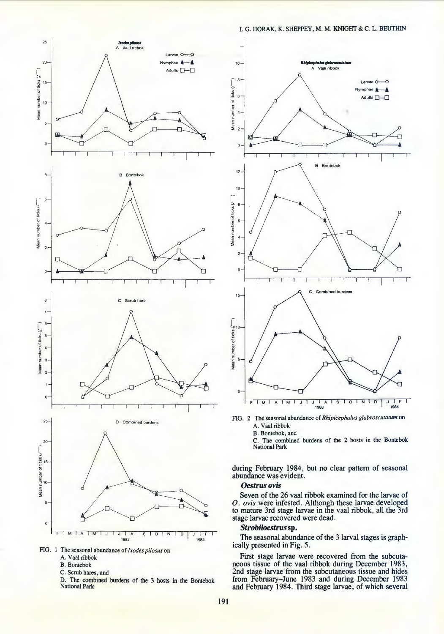



- A. Vaal ribbok
- B. Bontebok
- C. Scrub hares, and

D. The combined burdens of the 3 hosts in the Bontebok National Park



FIG. 2 The seasonal abundance of *Rhipicephalus glabroscutatum* on

A. Vaal ribbok

B. Bontebok, and

C. The combined burdens of the 2 hosts in the Bontebok National Park

during February 1984, but no clear pattern of seasonal abundance was evident.

#### *Oestrus ovis*

Seven of the 26 vaal ribbok examined for the larvae of *0. ovis* were infested. Although these larvae developed to mature 3rd stage larvae in the vaal ribbok, all the 3rd stage larvae recovered were dead.

# *Strobiloestrus* sp.

The seasonal abundance of the 3 larval stages is graphically presented in Fig. *5.* 

First stage larvae were recovered from the subcuta-<br>neous tissue of the vaal ribbok during December 1983,<br>2nd stage larvae from the subcutaneous tissue and hides from February-June 1983 and during December 1983 and February 1984. Third stage larvae, of which several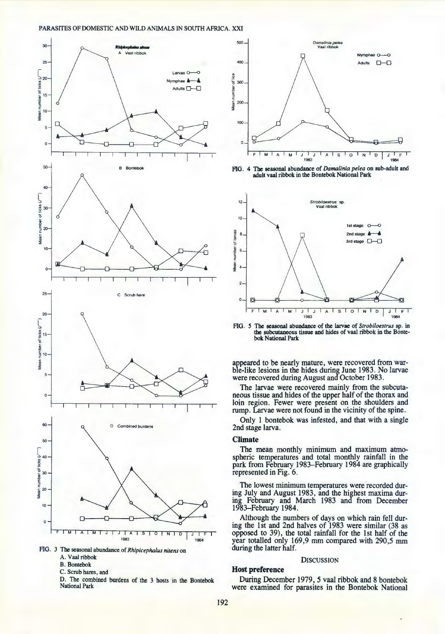



- A. Vaal ribbok
- B. Bontebok
- C. Scrub hares, and

D. The combined burdens of the 3 hosts in the Bontebok National Park



FlO. 4 Tbe seasonal abundance of *Damalinia pelea* on sub-adult and adult vaal ribbok in the Bontebok National Park



FlO. *S* The seasonal abundance of the larvae of *Strobiloestrus* sp. in the subcutaneous tissue and hides of vaal ribbok in the Bontebok National Park

appeared to be nearly mature, were recovered from warble-like lesions in the hides during June 1983. No larvae were recovered during August and October 1983.

The larvae were recovered mainly from the subcutaneous tissue and hides of the upper half of the thorax and loin region. Fewer were present on the shoulders and rump. Larvae were not found in the vicinity of the spine.

Only 1 bontebok was infested, and that with a single 2nd stage larva.

#### **Climate**

The mean monthly minimum and maximum atmo-spheric temperatures and total monthly rainfall in the park from February 1983-February 1984 are graphically represented in Fig. 6.

The lowest minimum temperatures were recorded during July and August 1983, and the highest maxima dur- ing February and March 1983 and from December 1983-February 1984.

Although the numbers of days on which rain fell dur- ing the 1st and 2nd halves of 1983 were similar (38 as opposed to 39), the total rainfall for the 1st half of the year totalled only 169,9 mm compared with 290,5 mm during the latter half.

#### **DISCUSSION**

#### **Host preference**

During December 1979, *5* vaal ribbok and 8 bontebok were examined for parasites in the Bontebok National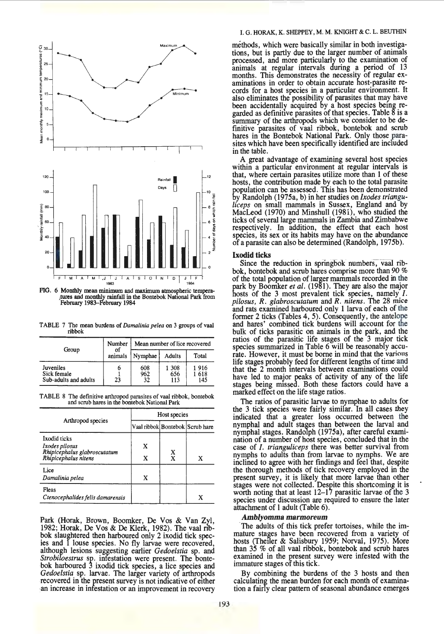

FIG. 6 Monthly mean minimum and maximum atmospheric tempera- itllres and monthly rainfall in the Bontebok Nattonal Park from February 1983-February 1984

TABLE 7 The mean burdens of *Damalinia pelea* on 3 groups of vaal ribbok

|                                                   | Number  | Mean number of lice recovered |                     |                    |  |  |
|---------------------------------------------------|---------|-------------------------------|---------------------|--------------------|--|--|
| Group                                             | animals | Nymphae                       | <b>Adults</b>       | Total              |  |  |
| Juveniles<br>Sick female<br>Sub-adults and adults | o<br>23 | 608<br>962<br>32              | 1 308<br>656<br>113 | 1916<br>618<br>145 |  |  |

TABLE 8 The definitive arthropod parasites of vaal ribbok, bontebok and scrub hares in the bontebok National Park

|                                                                                               | Host species |                                 |                                 |  |  |  |
|-----------------------------------------------------------------------------------------------|--------------|---------------------------------|---------------------------------|--|--|--|
| Arthropod species                                                                             |              |                                 | Vaal ribbok Bontebok Scrub hare |  |  |  |
| <b>Ixodid</b> ticks<br>Ixodes pilosus<br>Rhipicephalus glabroscutatum<br>Rhipicephalus nitens | X<br>x       | $\frac{\mathbf{x}}{\mathbf{x}}$ | x                               |  |  |  |
| Lice<br>Damalinia pelea                                                                       | x            |                                 |                                 |  |  |  |
| Fleas<br>Ctenocephalides felis damarensis                                                     |              |                                 | x                               |  |  |  |

Park (Horak, Brown, Boomker, De Vos & Van Zyl, 1982; Horak, De Vos & De Klerk, 1982). The vaal ribbok slaughtered then harboured only 2 ixodid tick species and 1 louse species. No fly larvae were recovered, although lesions suggesting earlier *Gedoelstia* sp. and *Strobiloestrus* sp. infestation were present. The bontebok harboured 3 ixodid tick species, a lice species and *Gedoelstia* sp. larvae. The larger variety of arthropods recovered in the present survey is not indicative of either an increase in infestation or an improvement in recovery

## I. G. HORAK, K. SHEPPEY, M. M. KNIGHT & C. L. BEUTHIN

methods, which were basically similar in both investigations, but is partly due to the larger number of animals processed, and more particularly to the examination of animals at regular intervals during a period of 13 months. This demonstrates the necessity of regular ex- aminations in order to obtain accurate host-parasite records for a host species in a particular environment. It also eliminates the possibility of parasites that may have been accidentally acquired by a host species being regarded as definitive parasites of that species. Table 8 is a summary of the arthropods which we consider to be definitive parasites of vaal ribbok, bontebok and scrub hares in the Bontebok National Park. Only those parasites which have been specifically identified are included in the table.

A great advantage of examining several host species within a particular environment at regular intervals is that, where certain parasites utilize more than 1 of these hosts, the contribution made by each to the total parasite population can be assessed. This has been demonstrated by Randolph (1975a, b) in her studies on *Ixodes trianguliceps* on small mammals in Sussex, England and by MacLeod (1970) and Minshull (1981), who studied the ticks of several large mammals in Zambia and Zimbabwe respectively. In addition, the effect that each host species, its sex or its habits may have on the abundance of a parasite can also be determined (Randolph, 1975b).

## Ixodid ticks

Since the reduction in springbok numbers, vaal ribbok, bontebok and scrub hares comprise more than 90 % of the total population of larger mammals recorded in the park by Boomker *et al.* (1981). They are also the major hosts of the 3 most prevalent tick species, namely *I*. *pilosus, R. glabroscutatum* and *R. nitens.* The 28 mice and rats examined harboured only 1 larva of each of the former 2 ticks (Tables 4, 5). Consequently, the antelope and hares' combined tick burdens will account for the bulk of ticks parasitic on animals in the park, and the ratios of the parasitic life stages of the 3 major tick species summarized in Table 6 will be reasonably accurate. However, it must be borne in mind that the various life stages probably feed for different lengths of time and that the 2 month intervals between examinations could have led to major peaks of activity of any of the life stages being m1ssed. Both these factors could have a marked effect on the life stage ratios.

The ratios of parasitic larvae to nymphae to adults for the 3 tick species were fairly similar. In all cases they indicated that a greater loss occurred between the nymphal and adult stages than between the larval and nymphal stages. Randolph (1975a), after careful examination of a number of host species, concluded that in the case of *I. trianguliceps* there was better survival from nymphs to adults than from larvae to nymphs. We are inclined to agree with her findings and feel that, despite the thorough methods of tick recovery employed in the present survey, it is likely that more larvae than other stages were not collected. Despite this shortcoming it is worth noting that at least 12-17 parasitic larvae of the 3 species under discussion are required to ensure the later attachment of I adult (Table 6).

## *Amblyomma marmoreum*

The adults of this tick prefer tortoises, while the immature stages have been recovered from a variety of hosts (Theiler & Salisbury 1959; Norval, 1975). More than 35 % of all vaal ribbok, bontebok and scrub hares examined in the present survey were infested with the immature stages of this tick.

By combining the burdens of the 3 hosts and then calculating the mean burden for each month of examination a fairly clear pattern of seasonal abundance emerges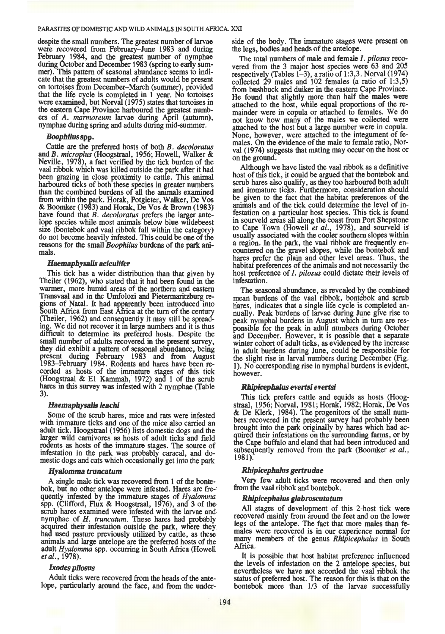despite the small numbers. The greatest number of larvae were recovered from February-June 1983 and during February 1984, and the greatest number of nymphae during October and December 1983 (spring to early summer). This pattern of seasonal abundance seems to indicate that the greatest numbers of adults would be present on tortoises from December-March (summer), provided that the life cycle is completed in  $1$  year. No tortoises were examined, but Norval (1975) states that tortoises in the eastern Cape Province harboured the greatest numbers of *A. marmoreum* larvae during April (autumn), nymphae during spring and adults during mid-summer.

## *Boophilus* spp.

Cattle are the preferred hosts of both B. decoloratus and B. *microplus* (Hoogstraal, 1956; Howell, Walker & Neville, 1978), a fact verified by the tick burden of the vaal ribbok which was killed outside the park after it had been grazing in close proximity to cattle. This animal harboured ticks of both these species in greater numbers than the combined burdens of all the ammals examined from within the park. Horak, Potgieter, Walker, De Vos & Boomker (1983) and Horak, De Vos & Brown (1983) have found that *B. decoloratus* prefers the larger antelope species while most animals below blue wlldebeest size (bontebok and vaal ribbok fall within the category) do not become heavily infested. This could be one of the reasons for the small *Boophilus* burdens of the park animals.

#### Haemaphysalis aciculifer

This tick has a wider distribution than that given by Theiler (1962), who stated that it had been found in the warmer, more humid areas of the northern and eastern Transvaal and in the Umfolozi and Pietermaritzburg regions of Natal. It had apparently been introduced into South Africa from East Africa at the tum of the century (Theiler, 1962) and consequently it may still be spreading. We did not recover it in large numbers and it is thus difficult to determine its preferred hosts. Despite the small number of adults recovered in the present survey, they did exhibit a pattern of seasonal abundance, being present during February 1983 and from August 1983-February 1984. Rodents and hares have been recorded as hosts of the immature stages of this tick (Hoogstraal & El Kammah, 1972) and 1 of the scrub hares in this survey was infested with 2 nymphae (Table 3).

#### *Haemaphysalh leachi*

Some of the scrub hares, mice and rats were infested with immature ticks and one of the mice also carried an adult tick. Hoogstraal (1956) lists domestic dogs and the larger wild carnivores as hosts of adult ticks and field rodents as hosts of the immature stages. The source of infestation in the park was probably caracal, and domestic dogs and cats which occasionally get into the park

#### *Hyalomma truncatum*

A single male tick was recovered from 1 of the bontebok, but no other antelope were infested. Hares are fre-' quently infested by the Immature stages of *Hyalomma*  spp. (Clifford, Flux & Hoogstraal, 1976), and 3 of the scrub hares examined were infested with the larvae and nymphae of *H. truncatum*. These hares had probably acquired their infestation outside the park, where they had used pasture previously utilized by cattle, as these animals and large antelope are the preferred hosts of the adult *Hyalomma* spp. occurring in South Africa (Howell *etal.,* 1978).

## *Ixodes pilosus*

Adult ticks were recovered from the heads of the antelope, particularly around the face, and from the under-

side of the body. The immature stages were present on the legs, bodies and heads of the antelope.

The total numbers of male and female /. *pilosus* recovered from the 3 major host species were 63 and 205 respectively (Tables 1-3), a ratio of 1:3,3. Norval (1974) collected  $\overline{29}$  males and 102 females (a ratio of 1:3,5) from bushbuck and duiker in the eastern Cape Province. He found that slightly more than half the males were attached to the host, while equal proportions of the remainder were in copula or attached to females. We do not know how many of the males we collected were attached to the host but a large number were in copula. None, however, were attached to the integument of females. On the evidence of the male to female ratio, Norval (1974) suggests that mating may occur on the host or on the ground.

Although we have listed the vaal ribbok as a definitive host of this tick, it could be argued that the bontebok and scrub hares also qualify, as they too harboured both adult and immature ticks. Furthermore, consideration should be given to the fact that the habitat preferences of the animals and of the tick could determine the level of infestation on a particular host species. This tick is found in sourveld areas all along the coast from Port Shepstone<sup>to</sup> Cape Town (Howell *et al.*, 1978), and sourveld is usually associated with the cooler southern slopes within a region. In the park, the vaal ribbok are frequently encountered on the gravel slopes, while the bontebok and hares prefer the plain and other level areas. Thus, the habitat preferences of the animals and not necessarily the host preference of *I. pilosus* could dictate their levels of infestation.

The seasonal abundance, as revealed by the combined· mean burdens of the vaal ribbok, bontebok and scrub hares, indicates that a single life cycle is completed annually. Peak burdens of larvae during June give rise to peak nymphal burdens in August which in tum are responsible for the peak in adult numbers during October and December. However, it is possible that a separate winter cohort of adult ticks, as evidenced by the increase in adult burdens during June, could be responsible for the slight rise in larval numbers during December (Fig. 1). No corresponding rise in nymphal burdens is evident, however.

## *RhipiCephalus e¥ertsi e¥ertsi*

This tick prefers cattle and equids as hosts (Hoogstraal, 1956; Norval, 1981; Horak, 1982; Horak, DeVos & De Klerk, 1984). The progenitors of the small numbers recovered in the present survey had probably been brought into the park originally by hares which had acquired their infestations on the surrounding farms, or by the Cape buffalo and eland that had been introduced and subsequently removed from the park (Boomker *et al.,*  1981).

## *Rhipicephalus gertrudae*

Very few adult ticks were recovered and then only from the vaal ribbok and bontebok.

## *Rhipicephalus glabroscutatum*

All stages of development of this 2-host tick were recovered mainly from around the feet and on the lower legs of the antelope. The fact that more males than females were recovered is in our experience normal for many members of the genus *Rhipicephalus* in South Africa.

It is possible that host habitat preference influenced the levels of infestation on the 2 antelope species, but nevertheless we have not accorded the vaal ribbok the status of preferred host. The reason for this is that on the bontebok more than  $1/3$  of the larvae successfully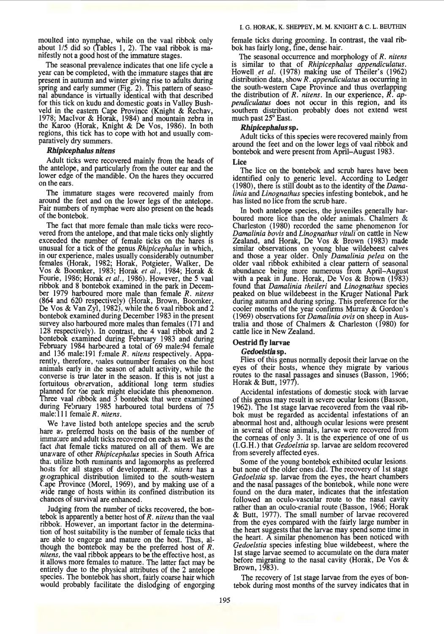moulted into nymphae, while on the vaal ribbok only about  $1/5$  did so (Tables 1, 2). The vaal ribbok is manifestly not a good host of the immature stages.

The seasonal prevalence indicates that one life cycle a year can be completed, with the immature stages that are present in autumn and winter giving rise to adults during spring and early summer (Fig. 2). This pattern of seasonal abundance is virtually identical with that described for this tick on kudu and domestic goats in Valley Bushveld in the eastern Cape Province (Knight & Rechav, 1978; Macivor & Horak, 1984) and mountain zebra in the Karoo (Horak, Knight & De Vos, 1986). In both regions, this tick has to cope with hot and usually comparatively dry summers.

## *Rhipicephalus nitens*

Adult ticks were recovered mainly from the heads of the antelope, and particularly lfrom the outer ear and the lower edge of the mandible. On the hares they occurred on the ears.

The immature stages were recovered mainly from around the feet and on the lower legs of the antelope. Fair numbers of nymphae were also present on the heads of the bontebok.

The fact that more female than male ticks were recovered from the antelope, and that male ticks only slightly exceeded the number of female ticks on the hares is unusual for a tick of the genus *Rhipicephalus* in which, in our experience, males usually considerably outnumber females (Horak, 1982; Horak, Potgieter, Walker, De Vos & Boomker, 1983; Horak *et al.,* 1984; Horak & Fourie, 1986; Horak *et al.,* 1986). However, the *5* vaal ribbok and 8 bontebok examined in the park in December 1979 harboured more male than female *R. nitens* (864 and 620 respectively) (Horak, Brown, Boomker, De Vos & Van Zyl, 1982), while the 6 vaal ribbok and  $\dot{2}$ bontebok examined during December 1983 in the present survey also harboured more males than females (171 and 128 respectively). In contrast, the 4 vaal ribbok and 2 bontebok examined during February 1983 and during February 1984 harboured a total of 69 male:94 female and 136 male:191 famale *R. nitens* respectively. Apparently, therefore, raales outnumber females on the host animals early in the season of adult activity, while the converse is true later in the season. If this is not just a fortuitous observation, additional long term studies planned for the park might elucidate this phenomenon. Three vaal ribbok and 3 bontebok that were examined during Fe'sruary 1985 harboured total burdens of 75 male: 111 female *R. nitens*.

We have listed both antelope species and the scrub hare a preferred hosts on the basis of the number of imma',ure and adult ticks recovered on each as well as the fact that female ticks matured on all of them. We are unaware of other *Rhipicephalus* species in South Africa tha; utilize both ruminants and lagomorphs as preferred hosts for all stages of development. *R. nitens* has a geographical distribution limited to the south-western Cape Province (Morel,  $1969$ ), and by making use of a wide range of hosts within its confined distribution its chances of survival are enhanced.

Judging from the number of ticks recovered, the bontebok is apparently a better host of *R. nitens* than the vaal ribbok. However, an important factor in the determination of host suitability is the number of female ticks that are able to engorge and mature on the host. Thus, although the bontebok may be the preferred host of *R. nitens,* the vaal ribbok appears to be the effective host, as it allows more females to mature. The latter fact may be entirely due to the physical attributes of the 2 antelope species. The bontebok has short, fairly coarse hair which would probably facilitate the dislodging of engorging female ticks during grooming. In contrast, the vaal ribbok has fairly long, fine, dense hair.

The seasonal occurrence and morphology of *R. nitens*  is similar to that of *Rhipicephalus appendiculatus.*  Howell.et *al.* (1978) makmg use of Theiler's (1962) distribution data, show *R. appendiculatus* as occurring in the south-western Cape Province and thus overlapping the distribution of *R. nitens.* In our experience, *R. ap- pendiculatus* does not occur in this region, and Its southern distribution probably does not extend west much past 25° East.

## *Rhipicephalus* sp.

Adult ticks of this species were recovered mainly from around the feet and on the lower legs of vaal ribbok and bontebok and were present from April-August 1983.

#### Lice

The lice on the bontebok and scrub hares have been identified only to generic level. According to Ledger (1980), there is still doubt as to the identity of the *Damalinia* and *Linognathus* species infesting bontebok, and he has listed no lice from the scrub hare.

In both antelope species, the juveniles generally harboured more lice than the older animals. Chalmers & Charleston (1980) recorded the same phenomenon for *Damalinia bovis* and *Linognathus vituli* on cattle in New Zealand, and Horak, De Vos & Brown (1983) made similar observations on young blue wildebeest calves and those a year older. Only *Damalinia pelea* on the older vaal ribbok exhibited a clear pattern of seasonal abundance being more numerous from April-August with a peak in June. Horak, De Vos & Brown (1983) found that *Damalinia theileri* and *Linognathus* species peaked on blue wildebeest in the Kruger National Park during autumn and during spring. This preference for the cooler months of the year confirms Murray & Gordon's ( 1969) observations for *Damalinia ovis* on sheep in Australia and those of Chalmers & Charleston (1980) for cattle lice in New Zealand.

#### Oestrid fly larvae

## *Gedoelstia* sp.

Flies of this genus normally deposit their larvae on the eyes of their hosts, whence they migrate by various routes to the nasal passages and sinuses (Basson, 1966; Horak & Butt, 1977).

Accidental infestations of domestic stock with larvae of this genus may result in severe ocular lesions (Basson, 1962). The 1st stage larvae recovered from the vaal ribbok must be regarded as accidental infestations of an abnormal host and, although ocular lesions were present in several of these animals, larvae were recovered from the corneas of only 3. It is the experience of one of us (I.G.H.) that *Gedoelstia* sp. larvae are seldom recovered from severely affected eyes.

Some of the young bontebok exhibited ocular lesions but none of the older ones did. The recovery of 1st stage Gedoelstia sp. larvae from the eyes, the heart chambers and the nasal passages of the bontebok, while none were found on the dura mater, indicates that the infestation followed an oculo-vascular route to the nasal cavity rather than an oculo-cranial route (Basson, 1966; Horak & Butt, 1977). The small number of larvae recovered from the eyes compared with the fairly large number in the heart suggests that the larvae may spend some time in the heart. A similar phenomenon has been noticed with *Gedoelstia* species infesting blue wildebeest, where the I st stage larvae seemed to accumulate on the dura mater before migrating to the nasal cavity (Horak, De Vos & Brown, 1983).

The recovery of 1st stage larvae from the eyes of bontebok during most months of the survey indicates that in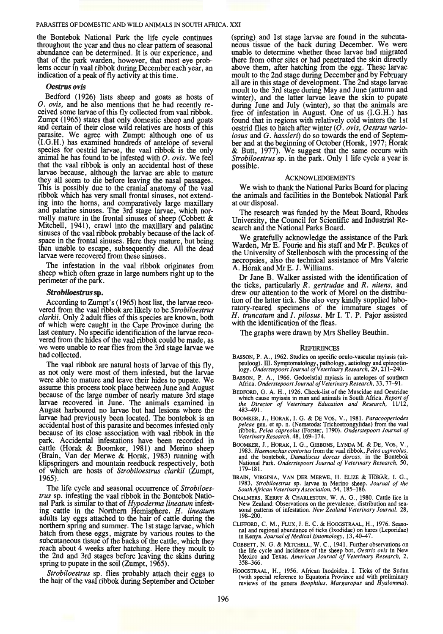the Bontebok National Park the life cycle continues throughout the year and thus no clear pattern of seasonal abundance can be determined. It is our experience, and that of the park warden, however, that most eye probthat the park was denoted warden because the probe- lems occur in vaal ribbok during December each year, an indication of a peak of fly activity at this time.

# *Oestrus ovis*

Bedford (1926) lists sheep and goats as hosts of *0. ovis,* and he also mentions that he had recently received some larvae of this fly collected from vaal ribbok. Zumpt (1965) states that only domestic sheep and goats and certain of their close wild relatives are hosts of this parasite. We agree with Zumpt: although one of us (I.G.H.) has examined hundreds of antelope of several species for oestrid larvae, the vaal ribbok is the only animal he has found to be infested with *0. ovis.* We feel that the vaal ribbok is only an accidental host of these larvae because, although the larvae are able to mature they all seem to die before leaving the nasal passages. This is possibly due to the cranial anatomy of the vaal ribbok which has very small frontal sinuses, not extending into the horns, and comparatively large maxillary and palatine sinuses. The 3rd stage larvae, which normally mature in the frontal sinuses of sheep (Cobbett  $\&$ Mitchell,  $1941$ , crawl into the maxillary and palatine sinuses of the vaal ribbok probably because of the lack of. space in the frontal sinuses. Here they mature, but being then unable to escape, subsequently die. All the dead larvae were recovered from these sinuses.

The infestation in the vaal ribbok originates from sheep which often graze in large numbers right up to the perimeter of the park.

## *Strobiloestrus* sp.

According to Zumpt's (1965) host list, the larvae recovered from the vaal nbbok are likely to be *Strobiloestrus clarkii.* Only 2 adult flies of this species are known, both of which were caught in the Cape Province during the last century. No specific identification of the larvae recovered from the hides of the vaal ribbok could be made, as we were unable to rear flies from the 3rd stage larvae we had collected.

The vaal ribbok are natural hosts of larvae of this fly, as not only were most of them infested, but the larvae were able to mature and leave their hides to pupate. We assume this process took place between June and August because of the large number of nearly mature 3rd stage larvae recovered in June. The animals examined in August harboured no larvae but had lesions where the larvae had previously been located. The bontebok is an accidental host of this parasite and becomes infested only because of its close association with vaal ribbok in the park. Accidental infestations have been recorded in cattle (Horak & Boomker, 1981) and Merino sheep (Brain, Van der Merwe & Horak, 1983) running with klipspringers and mountain reedbuck respectively, both of which are hosts of *Strobiloestrus clarkii* (Zumpt, 1965).

The life cycle and seasonal occurrence of *Strobiloestrus* sp. infesting the vaal ribbok in the Bontebok National Park is similar to that of *Hypoderma lineatum* infeSting cattle in the Northern Hemisphere. *H. lineatum*  adults lay eggs attached to the hair of cattle during the northern spring and summer. The 1st stage larvae, which hatch from these eggs, migrate by various routes to the subcutaneous tissue of the backs of the cattle, which they reach about 4 weeks after hatching. Here they moult to the 2nd and 3rd stages before leaving the skins during spring to pupate in the soil (Zumpt, 1965).

*Strobiloestrus* sp. flies probably attach their eggs to the hair of the vaal ribbok during September and October

(spring) and 1st stage larvae are found in the subcutaneous tissue of the back during December. We were unable to determine whether these larvae had migrated there from other sites or had penetrated the skin directly above them, after hatching from the egg. These larvae moult to the 2nd stage during December and by February all are in this stage of development. The 2nd stage larvae moult to the 3rd stage during May and June (autumn and winter), and the latter larvae leave the skin to pupate during June and July (winter), so that the animals are free of infestation in August. One of us (I.G.H.) has found that in regions with relatively cold winters the 1st oestrid flies to hatch after winter ( *0 . ovis, Oestrus variolosus* and *G. hassleri)* do so towards the end of September and at the beginning of October (Horak, 1977; Horak & Butt, 1977). We suggest that the same occurs with *Strobiloestrus* sp. in the park. Only I life cycle a year is possible.

#### ACKNOWLEDGEMENTS

We wish to thank the National Parks Board for placing the animals and facilities in the Bontebok National Park at our disposal.

The research was funded by the Meat Board, Rhodes University, the Council for Scientific and Industrial Research and the National Parks Board.

We gratefully acknowledge the assistance of the Park Warden, Mr E. Fourie and his staff and Mr P. Beukes of the University of Stellenbosch with the processing of the necropsies, also the technical assistance of Mrs Valerie A. HorakandMrE. J. Williams.

Dr Jane B. Walker assisted with the identification of the ticks, particularly *R. gertrudae* and *R. nitens,* and tion of the latter tick. She also very kindly supplied laboratory-reared specimens of the immature stages of H. truncatum and *I. pilosus*. Mr I. T. P. Pajor assisted with the identification of the fleas.

The graphs were drawn by Mrs Shelley Beuthin.

#### **REFERENCES**

- SASSON, P. A., 1962. Studies on specific oculo-vascular myiasis (uitpeuloog). III. Symptomatology, pathology, aetiology and epizootiology. *Onderstepoort Journal of Veterinary Research,* 29, 211-240.
- SASSON, P. A., 1966. Gedoelstial myiasis in antelopes of southern Africa. *Onderstepoort Journal of Veterinary Research,* 33,77-91.
- BEDFORD, G. A. H., 1926. Check-list of the Muscidae and Oestridae which cause myiasis in man and animals in South Africa. *Report of the Director of Veterinary Education and Research*, 11/12, 483–491.
- BOOMKER, J. , HORAK, I. G. & DE Vos, V. , 1981. *Paracooperiodes peleae* gen. et sp. n. (Nematoda: Trichostrongylidae) from the vaal ribbok, *Pelea capreolus* (Forster, 1790). *Onderstepoort Journal of Veterinary Research,* 48, 169-174.
- 800MKER, J., HORAK, I. G., GIBBONS, LYNDA M. & DE, Vos, V. , 1983. *Haemonchus contortus* from the vaal ribbok, *Pelea capreolus,* and the bontebok, *Damaliscus dorcas dorcas,* in the Bontebok National Park. *Onderstepoort Journal of Veterinary Research,* 50, 179-181.
- BRAIN, VIRGINIA, VAN DER MERWE, H. ELIZE & *HORAK*, I. G., 1983. *Strobiloestrus* sp. larvae in Merino sheep. *Journal of the South African Veterinary Association*, 54, 185-186.
- CHALMERS, KERRY & CHARLESTON, W. A. G., 1980. Cattle lice in New Zealand: Observations on the prevalence, distribution and sea- sonal patterns of infestation. *New Zealand Veterinary Journal,* 28, 198--200.
- CLIFFORD, C. M., FLUX, J. E. C. & HOOGSTRAAL, H. , 1976. Seaso- nal and regional abundance of ticks (Ixodidae) on hares (Leporidae) in Kenya. *Journal of Medical Entomology,* 13, 40-47.
- COBBETT, N. G. & MITCHELL, W. C., 1941. Further observations on the life cycle and incidence of the sheep bot, *Oestris ovis* in New Mexico and Texas. *American Journal of Veterinary Research,* 2, 358--366.
- HOOGSTRAAL, H., 1956. African Ixodoidea. I. Ticks of the Sudan (with special reference to Equatoria Province and with preliminary reviews of the genera *Boophilus, Margaropus* and *Hyalomma).*